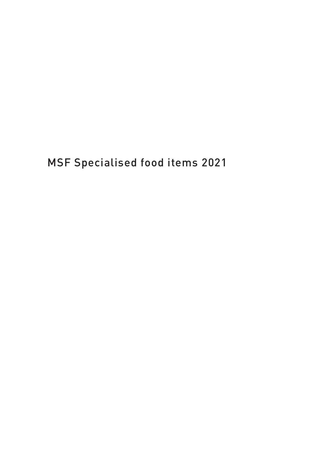MSF Specialised food items 2021